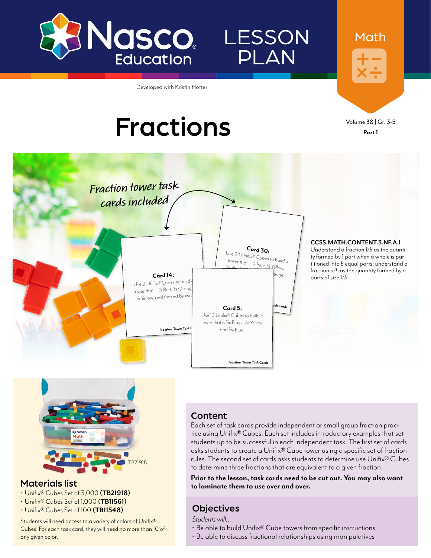

## **LESSON** PLAN

Developed with Kristin Hotter

# Fractions Volume 38 | Gr. 3-5

**Part 1**

Math





#### Materials list

- Unifix® Cubes Set of 3,000 **([TB21918\)](http://www.enasco.com/p/TB21918)**
- Unifix® Cubes Set of 1,000 **([TB11561](http://www.enasco.com/p/TB11561))**
- Unifix® Cubes Set of 100 **[\(TB11548\)](http://www.enasco.com/p/TB11548)**

Students will need access to a variety of colors of Unifix® Cubes. For each task card, they will need no more than 10 of any given color.

#### Content

Each set of task cards provide independent or small group fraction practice using Unifix® Cubes. Each set includes introductory examples that set students up to be successful in each independent task. The first set of cards asks students to create a Unifix® Cube tower using a specific set of fraction rules. The second set of cards asks students to determine use Unifix® Cubes to determine three fractions that are equivalent to a given fraction.

**Prior to the lesson, task cards need to be cut out. You may also want to laminate them to use over and over.**

#### **Objectives**

*Students will…*

- Be able to build Unifix® Cube towers from specific instructions
- Be able to discuss fractional relationships using manipulatives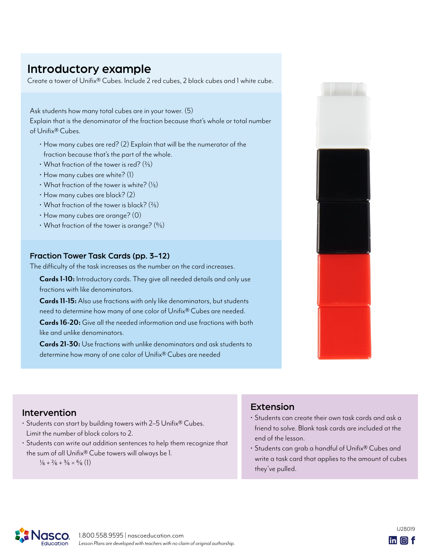### Introductory example

Create a tower of Unifix® Cubes. Include 2 red cubes, 2 black cubes and 1 white cube.

Ask students how many total cubes are in your tower. (5) Explain that is the denominator of the fraction because that's whole or total number of Unifix® Cubes.

- How many cubes are red? (2) Explain that will be the numerator of the fraction because that's the part of the whole.
- What fraction of the tower is red?  $(2/5)$
- How many cubes are white? (1)
- What fraction of the tower is white?  $(\frac{1}{5})$
- How many cubes are black? (2)
- What fraction of the tower is black?  $(2/5)$
- How many cubes are orange? (0)
- What fraction of the tower is orange?  $(0/5)$

#### Fraction Tower Task Cards (pp. 3-12)

The difficulty of the task increases as the number on the card increases.

**Cards 1-10:** Introductory cards. They give all needed details and only use fractions with like denominators.

**Cards 11-15:** Also use fractions with only like denominators, but students need to determine how many of one color of Unifix® Cubes are needed.

**Cards 16-20:** Give all the needed information and use fractions with both like and unlike denominators.

**Cards 21-30:** Use fractions with unlike denominators and ask students to determine how many of one color of Unifix® Cubes are needed



#### Intervention

- Students can start by building towers with 2–5 Unifix® Cubes. Limit the number of block colors to 2.
- Students can write out addition sentences to help them recognize that the sum of all Unifix® Cube towers will always be 1.  $\frac{1}{6} + \frac{2}{6} + \frac{3}{6} = \frac{6}{6}$  (1)

#### Extension

- Students can create their own task cards and ask a friend to solve. Blank task cards are included at the end of the lesson.
- Students can grab a handful of Unifix® Cubes and write a task card that applies to the amount of cubes they've pulled.



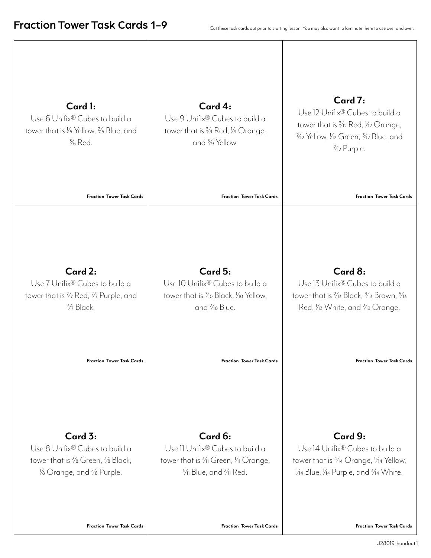| Card 1:<br>Use 6 Unifix® Cubes to build a<br>tower that is % Yellow, % Blue, and<br>$\frac{3}{6}$ Red.<br><b>Fraction Tower Task Cards</b> | Card 4:<br>Use 9 Unifix® Cubes to build a<br>tower that is 3/9 Red, 1/9 Orange,<br>and <sup>5</sup> / <sub>9</sub> Yellow.<br><b>Fraction Tower Task Cards</b> | Card 7:<br>Use 12 Unifix® Cubes to build a<br>tower that is 3/12 Red, 1/12 Orange,<br>$\frac{2}{12}$ Yellow, $\frac{1}{12}$ Green, $\frac{3}{12}$ Blue, and<br>3/12 Purple.<br><b>Fraction Tower Task Cards</b> |
|--------------------------------------------------------------------------------------------------------------------------------------------|----------------------------------------------------------------------------------------------------------------------------------------------------------------|-----------------------------------------------------------------------------------------------------------------------------------------------------------------------------------------------------------------|
| Card 2:                                                                                                                                    | Card 5:                                                                                                                                                        | Card 8:                                                                                                                                                                                                         |
| Use 7 Unifix <sup>®</sup> Cubes to build a                                                                                                 | Use 10 Unifix <sup>®</sup> Cubes to build a                                                                                                                    | Use 13 Unifix® Cubes to build a                                                                                                                                                                                 |
| tower that is 3/7 Red, 3/7 Purple, and                                                                                                     | tower that is 1/10 Black, 1/10 Yellow,                                                                                                                         | tower that is <sup>2</sup> /13 Black, <sup>3</sup> /13 Brown, <sup>5</sup> /13                                                                                                                                  |
| $\frac{3}{7}$ Black.                                                                                                                       | and % Blue.                                                                                                                                                    | Red, <i>V</i> <sub>13</sub> White, and <sup>2</sup> /13 Orange.                                                                                                                                                 |
| <b>Fraction Tower Task Cards</b>                                                                                                           | <b>Fraction Tower Task Cards</b>                                                                                                                               | <b>Fraction Tower Task Cards</b>                                                                                                                                                                                |
| Card 3:                                                                                                                                    | Card 6:                                                                                                                                                        | Card 9:                                                                                                                                                                                                         |
| Use 8 Unifix® Cubes to build a                                                                                                             | Use II Unifix <sup>®</sup> Cubes to build a                                                                                                                    | Use 14 Unifix® Cubes to build a                                                                                                                                                                                 |
| tower that is % Green, % Black,                                                                                                            | tower that is 3/11 Green, 1/11 Orange,                                                                                                                         | tower that is <sup>4</sup> / <sub>14</sub> Orange, <sup>5</sup> / <sub>14</sub> Yellow,                                                                                                                         |
| 1/8 Orange, and <sup>2</sup> /8 Purple.                                                                                                    | $\frac{5}{11}$ Blue, and $\frac{2}{11}$ Red.                                                                                                                   | 1/14 Blue, 1/14 Purple, and 3/14 White.                                                                                                                                                                         |
| <b>Fraction Tower Task Cards</b>                                                                                                           | <b>Fraction Tower Task Cards</b>                                                                                                                               | <b>Fraction Tower Task Cards</b>                                                                                                                                                                                |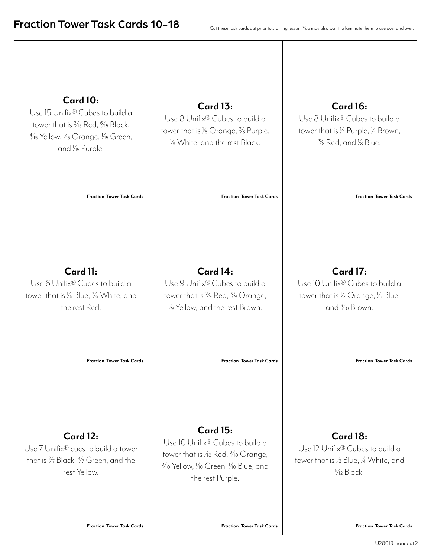| Card 10:<br>Use 15 Unifix® Cubes to build a<br>tower that is % Red, % Black,<br>1/15 Yellow, 1/15 Orange, 1/15 Green,<br>and 1/ <sub>5</sub> Purple.<br><b>Fraction Tower Task Cards</b> | <b>Card 13:</b><br>Use 8 Unifix® Cubes to build a<br>tower that is 1/8 Orange, 3/8 Purple,<br>1/8 White, and the rest Black.<br><b>Fraction Tower Task Cards</b>                                                                  | <b>Card 16:</b><br>Use 8 Unifix® Cubes to build a<br>tower that is 1/4 Purple, 1/4 Brown,<br>% Red, and % Blue.<br><b>Fraction Tower Task Cards</b> |
|------------------------------------------------------------------------------------------------------------------------------------------------------------------------------------------|-----------------------------------------------------------------------------------------------------------------------------------------------------------------------------------------------------------------------------------|-----------------------------------------------------------------------------------------------------------------------------------------------------|
| Card 11:<br>Use 6 Unifix® Cubes to build a<br>tower that is % Blue, % White, and<br>the rest Red.<br><b>Fraction Tower Task Cards</b>                                                    | Card 14:<br>Use 9 Unifix® Cubes to build a<br>tower that is $\frac{2}{9}$ Red, $\frac{3}{9}$ Orange,<br>1/9 Yellow, and the rest Brown.<br><b>Fraction Tower Task Cards</b>                                                       | <b>Card 17:</b><br>Use 10 Unifix® Cubes to build a<br>tower that is 1/2 Orange, 1/5 Blue,<br>and 3/10 Brown.<br><b>Fraction Tower Task Cards</b>    |
| <b>Card 12:</b><br>Use 7 Unifix® cues to build a tower<br>that is $\frac{2}{7}$ Black, $\frac{3}{7}$ Green, and the<br>rest Yellow.<br><b>Fraction Tower Task Cards</b>                  | <b>Card 15:</b><br>Use 10 Unifix® Cubes to build a<br>tower that is <i>Y</i> <sub>10</sub> Red, <i>Y</i> <sub>10</sub> Orange,<br>3/10 Yellow, 1/10 Green, 1/10 Blue, and<br>the rest Purple.<br><b>Fraction Tower Task Cards</b> | Card 18:<br>Use 12 Unifix® Cubes to build a<br>tower that is 1/3 Blue, 1/4 White, and<br>$\frac{5}{12}$ Black.<br><b>Fraction Tower Task Cards</b>  |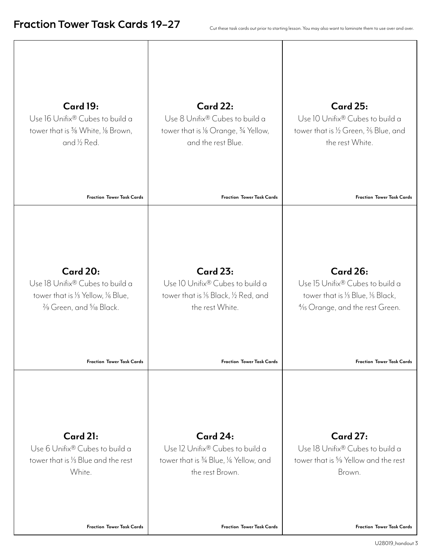| <b>Card 19:</b>                                         | <b>Card 22:</b>                                                | <b>Card 25:</b>                                   |
|---------------------------------------------------------|----------------------------------------------------------------|---------------------------------------------------|
| Use 16 Unifix® Cubes to build a                         | Use 8 Unifix® Cubes to build a                                 | Use 10 Unifix® Cubes to build a                   |
| tower that is $\frac{3}{8}$ White, $\frac{1}{8}$ Brown, | tower that is 1/8 Orange, $\frac{3}{4}$ Yellow,                | tower that is 1/2 Green, 2/5 Blue, and            |
| and 1/2 Red.                                            | and the rest Blue.                                             | the rest White.                                   |
| <b>Fraction Tower Task Cards</b>                        | <b>Fraction Tower Task Cards</b>                               | <b>Fraction Tower Task Cards</b>                  |
| <b>Card 20:</b>                                         | <b>Card 23:</b>                                                | <b>Card 26:</b>                                   |
| Use 18 Unifix® Cubes to build a                         | Use 10 Unifix® Cubes to build a                                | Use 15 Unifix <sup>®</sup> Cubes to build a       |
| tower that is 1/3 Yellow, 1/6 Blue,                     | tower that is 1/5 Black, 1/2 Red, and                          | tower that is 1/3 Blue, 1/5 Black,                |
| 3/9 Green, and 5/18 Black.                              | the rest White.                                                | 1/ <sub>15</sub> Orange, and the rest Green.      |
| <b>Fraction Tower Task Cards</b>                        | <b>Fraction Tower Task Cards</b>                               | <b>Fraction Tower Task Cards</b>                  |
| Card 21:                                                | <b>Card 24:</b>                                                | <b>Card 27:</b>                                   |
| Use 6 Unifix® Cubes to build a                          | Use 12 Unifix® Cubes to build a                                | Use 18 Unifix® Cubes to build a                   |
| tower that is 1/3 Blue and the rest                     | tower that is <sup>3</sup> /4 Blue, <sup>1/6</sup> Yellow, and | tower that is <sup>5</sup> /9 Yellow and the rest |
| White.                                                  | the rest Brown.                                                | Brown.                                            |
| <b>Fraction Tower Task Cards</b>                        | <b>Fraction Tower Task Cards</b>                               | <b>Fraction Tower Task Cards</b>                  |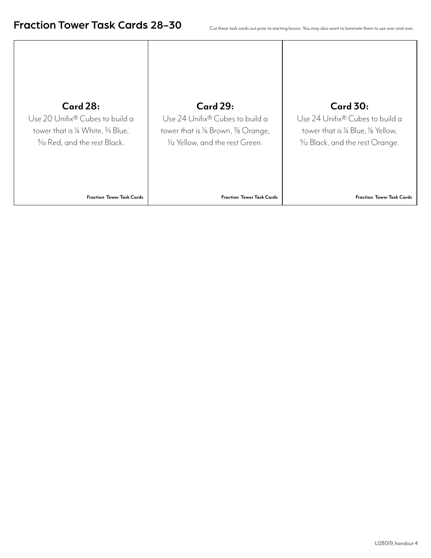| <b>Card 28:</b>                              | <b>Card 29:</b>                                          | <b>Card 30:</b>                     |
|----------------------------------------------|----------------------------------------------------------|-------------------------------------|
| Use 20 Unifix® Cubes to build a              | Use 24 Unifix® Cubes to build a                          | Use 24 Unifix® Cubes to build a     |
| tower that is 1/4 White, $\frac{2}{5}$ Blue, | tower that is $\frac{1}{6}$ Brown, $\frac{3}{8}$ Orange, | tower that is 1/4 Blue, 1/8 Yellow, |
| 3/10 Red, and the rest Black.                | 1/2 Yellow, and the rest Green.                          | 5/12 Black, and the rest Orange.    |
| <b>Fraction Tower Task Cards</b>             | <b>Fraction Tower Task Cards</b>                         | <b>Fraction Tower Task Cards</b>    |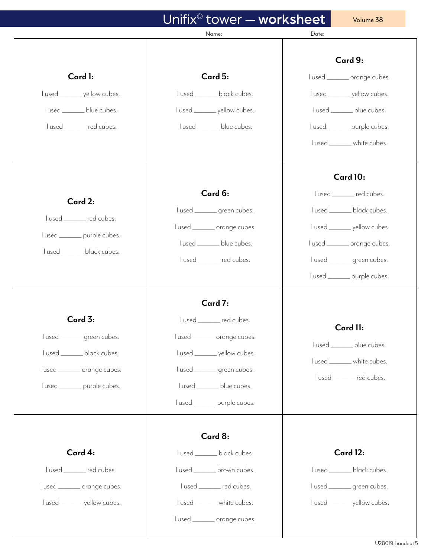## Unifix® tower — worksheet

Volume 38

|                                                                                                                                        | Name: ______________________________                                                                                                                                                             | Date:                                                                                                                                                                                             |
|----------------------------------------------------------------------------------------------------------------------------------------|--------------------------------------------------------------------------------------------------------------------------------------------------------------------------------------------------|---------------------------------------------------------------------------------------------------------------------------------------------------------------------------------------------------|
| Card 1:<br>l used _________ yellow cubes.<br>lused ________ blue cubes.<br>lused ______ red cubes.                                     | Card 5:<br>lused ________ black cubes.<br>l used _________ yellow cubes.<br>lused ________ blue cubes.                                                                                           | Card 9:<br>lused _______ orange cubes.<br>I used ________ yellow cubes.<br>lused ________ blue cubes.<br>l used ________ purple cubes.<br>lused ________ white cubes.                             |
| Card 2:<br>lused _______ red cubes.<br>lused ________ purple cubes.<br>lused ________ black cubes.                                     | Card 6:<br>lused _______ green cubes.<br>l used _______ orange cubes.<br>l used ________ blue cubes.<br>lused ______ red cubes.                                                                  | Card 10:<br>lused _______ red cubes.<br>lused _______ black cubes.<br>l used ________ yellow cubes.<br>lused _______ orange cubes.<br>lused _______ green cubes.<br>l used ________ purple cubes. |
| Card 3:<br>$l$ used $\_$<br>green cubes.<br>lused ________ black cubes.<br>lused _______ orange cubes.<br>lused ________ purple cubes. | Card 7:<br>lused _______ red cubes.<br>lused _______ orange cubes.<br>l used ________ yellow cubes.<br>lused _______ green cubes.<br>lused ________ blue cubes.<br>l used ________ purple cubes. | Card 11:<br>l used ________ blue cubes.<br>lused ________ white cubes.<br>lused ______ red cubes.                                                                                                 |
| Card 4:<br>lused _______ red cubes.<br>lused _______ orange cubes.<br>l used _________ yellow cubes.                                   | Card 8:<br>lused ________ black cubes.<br>lused ________ brown cubes.<br>lused ______ red cubes.<br>lused ________ white cubes.<br>lused _______ orange cubes.                                   | Card 12:<br>lused ________ black cubes.<br>lused _______ green cubes.<br>l used _________ yellow cubes.                                                                                           |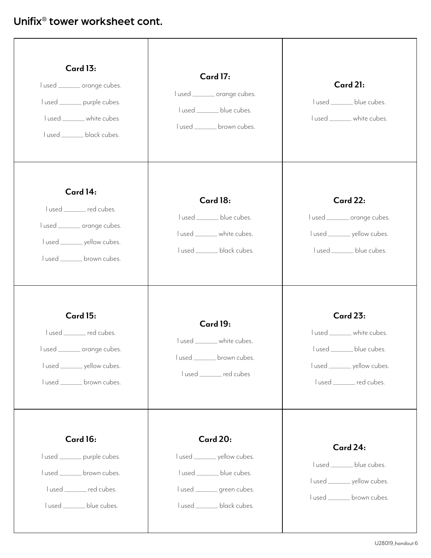| <b>Card 13:</b><br>lused _______ orange cubes.<br>l used ________ purple cubes.<br>lused ________ white cubes<br>lused ________ black cubes. | <b>Card 17:</b><br>l used _______ orange cubes.<br>lused ________ blue cubes.<br>lused ________ brown cubes.                               | Card 21:<br>lused ________ blue cubes.<br>l used ________ white cubes.                                                                      |
|----------------------------------------------------------------------------------------------------------------------------------------------|--------------------------------------------------------------------------------------------------------------------------------------------|---------------------------------------------------------------------------------------------------------------------------------------------|
| Card 14:<br>lused ______ red cubes.<br>lused _______ orange cubes.<br>l used _________ yellow cubes.<br>lused ________ brown cubes.          | Card 18:<br>lused ________ blue cubes.<br>lused ________ white cubes.<br>lused ________ black cubes.                                       | <b>Card 22:</b><br>lused _______ orange cubes.<br>I used _________ yellow cubes.<br>lused ________ blue cubes.                              |
| <b>Card 15:</b><br>lused ______ red cubes.<br>l used _______ orange cubes.<br>l used _________ yellow cubes.<br>lused ________ brown cubes.  | <b>Card 19:</b><br>lused ________ white cubes.<br>lused ________ brown cubes.<br>lused ______ red cubes                                    | <b>Card 23:</b><br>l used ________ white cubes.<br>lused ________ blue cubes.<br>l used _________ yellow cubes.<br>lused _______ red cubes. |
| Card 16:<br>l used ________ purple cubes.<br>lused ________ brown cubes.<br>lused _______ red cubes.<br>lused ________ blue cubes.           | <b>Card 20:</b><br>l used _________ yellow cubes.<br>lused _______ blue cubes.<br>lused _______ green cubes.<br>lused _______ black cubes. | Card 24:<br>lused ________ blue cubes.<br>I used _________ yellow cubes.<br>lused ________ brown cubes.                                     |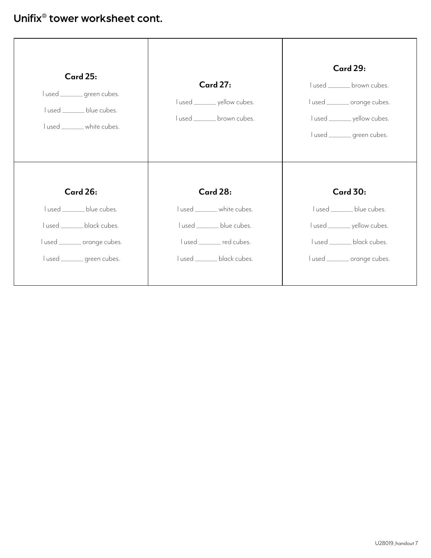#### Unifix® tower worksheet cont.

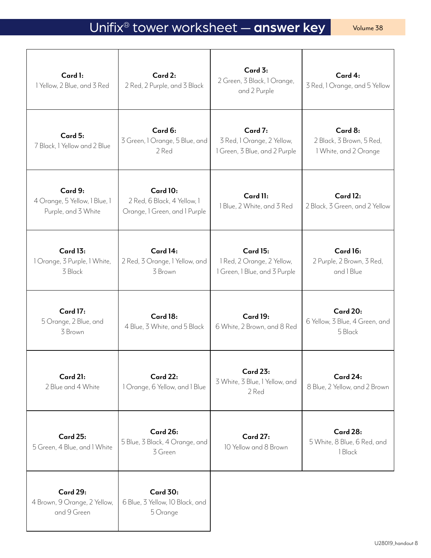## Unifix<sup>®</sup> tower worksheet — answer key volume 38

| Card 1:<br>1 Yellow, 2 Blue, and 3 Red                          | Card 2:<br>2 Red, 2 Purple, and 3 Black                                  | Card 3:<br>2 Green, 3 Black, 1 Orange,<br>and 2 Purple                         | Card 4:<br>3 Red, 1 Orange, and 5 Yellow                     |
|-----------------------------------------------------------------|--------------------------------------------------------------------------|--------------------------------------------------------------------------------|--------------------------------------------------------------|
| Card 5:<br>7 Black, I Yellow and 2 Blue                         | Card 6:<br>3 Green, 1 Orange, 5 Blue, and<br>2 Red                       | Card 7:<br>3 Red, 1 Orange, 2 Yellow,<br>1 Green, 3 Blue, and 2 Purple         | Card 8:<br>2 Black, 3 Brown, 5 Red,<br>1 White, and 2 Orange |
| Card 9:<br>4 Orange, 5 Yellow, 1 Blue, 1<br>Purple, and 3 White | Card 10:<br>2 Red, 6 Black, 4 Yellow, 1<br>Orange, 1 Green, and 1 Purple | Card 11:<br>1 Blue, 2 White, and 3 Red                                         | Card 12:<br>2 Black, 3 Green, and 2 Yellow                   |
| Card 13:<br>1 Orange, 3 Purple, 1 White,<br>3 Black             | Card 14:<br>2 Red, 3 Orange, 1 Yellow, and<br>3 Brown                    | <b>Card 15:</b><br>1 Red, 2 Orange, 2 Yellow,<br>1 Green, 1 Blue, and 3 Purple | Card 16:<br>2 Purple, 2 Brown, 3 Red,<br>and I Blue          |
| <b>Card 17:</b><br>5 Orange, 2 Blue, and<br>3 Brown             | Card 18:<br>4 Blue, 3 White, and 5 Black                                 | Card 19:<br>6 White, 2 Brown, and 8 Red                                        | <b>Card 20:</b><br>6 Yellow, 3 Blue, 4 Green, and<br>5 Black |
| Card 21:<br>2 Blue and 4 White                                  | <b>Card 22:</b><br>1 Orange, 6 Yellow, and 1 Blue                        | <b>Card 23:</b><br>3 White, 3 Blue, 1 Yellow, and<br>2 Red                     | Card 24:<br>8 Blue, 2 Yellow, and 2 Brown                    |
| <b>Card 25:</b><br>5 Green, 4 Blue, and 1 White                 | Card 26:<br>5 Blue, 3 Black, 4 Orange, and<br>3 Green                    | <b>Card 27:</b><br>10 Yellow and 8 Brown                                       | Card 28:<br>5 White, 8 Blue, 6 Red, and<br>1 Black           |
| <b>Card 29:</b><br>4 Brown, 9 Orange, 2 Yellow,<br>and 9 Green  | <b>Card 30:</b><br>6 Blue, 3 Yellow, 10 Black, and<br>5 Orange           |                                                                                |                                                              |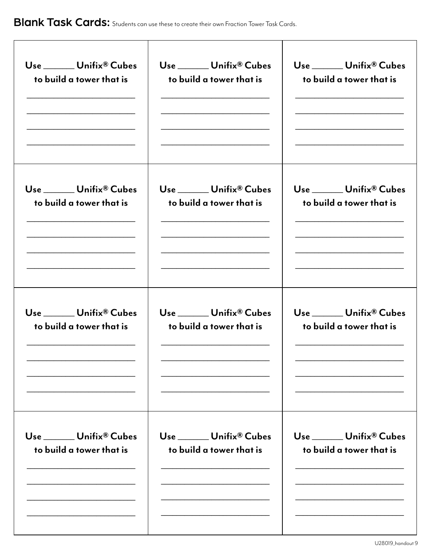| Use _____ Unifix® Cubes                              | Use ______ Unifix® Cubes                             | Use ______ Unifix® Cubes                                                                                 |
|------------------------------------------------------|------------------------------------------------------|----------------------------------------------------------------------------------------------------------|
| to build a tower that is                             | to build a tower that is                             | to build a tower that is                                                                                 |
| Use ______ Unifix® Cubes<br>to build a tower that is | Use ______ Unifix® Cubes<br>to build a tower that is | Use _____ Unifix® Cubes<br>to build a tower that is<br><u> 1989 - Johann Barbara, martxa alemaniar a</u> |
| Use _____ Unifix® Cubes                              | Use _____ Unifix® Cubes                              | Use _____ Unifix® Cubes                                                                                  |
| to build a tower that is                             | to build a tower that is                             | to build a tower that is                                                                                 |
| Use ______ Unifix® Cubes                             | Use Unifix® Cubes                                    | Use _____ Unifix® Cubes                                                                                  |
| to build a tower that is                             | to build a tower that is                             | to build a tower that is                                                                                 |
|                                                      |                                                      |                                                                                                          |